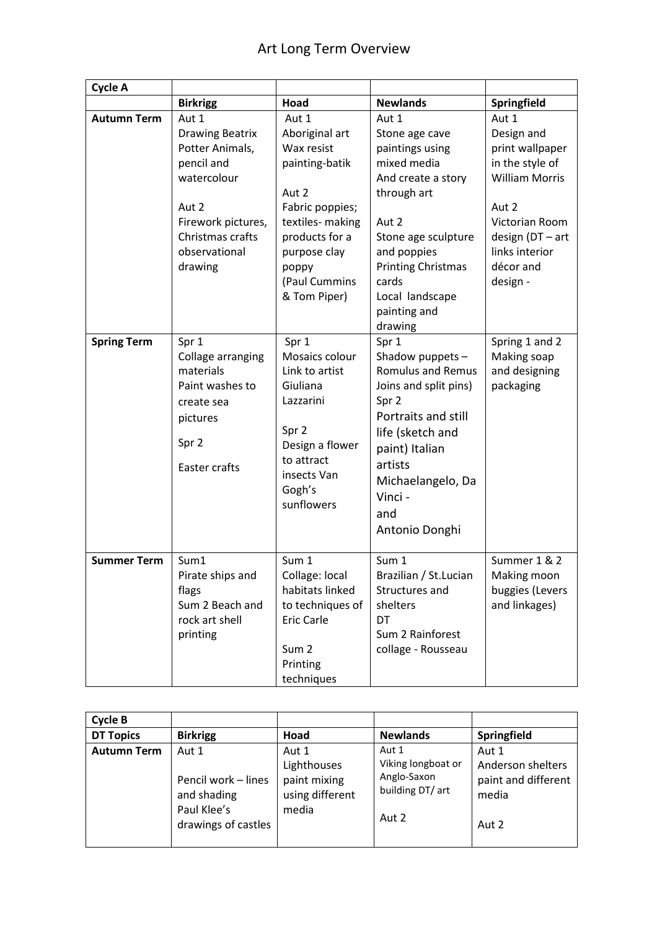| <b>Cycle A</b>     |                                                                                                                                                                |                                                                                                                                                                                     |                                                                                                                                                                                                                                   |                                                                                                                                                                              |
|--------------------|----------------------------------------------------------------------------------------------------------------------------------------------------------------|-------------------------------------------------------------------------------------------------------------------------------------------------------------------------------------|-----------------------------------------------------------------------------------------------------------------------------------------------------------------------------------------------------------------------------------|------------------------------------------------------------------------------------------------------------------------------------------------------------------------------|
|                    | <b>Birkrigg</b>                                                                                                                                                | Hoad                                                                                                                                                                                | <b>Newlands</b>                                                                                                                                                                                                                   | Springfield                                                                                                                                                                  |
| <b>Autumn Term</b> | Aut 1<br><b>Drawing Beatrix</b><br>Potter Animals,<br>pencil and<br>watercolour<br>Aut 2<br>Firework pictures,<br>Christmas crafts<br>observational<br>drawing | Aut 1<br>Aboriginal art<br>Wax resist<br>painting-batik<br>Aut 2<br>Fabric poppies;<br>textiles- making<br>products for a<br>purpose clay<br>poppy<br>(Paul Cummins<br>& Tom Piper) | Aut 1<br>Stone age cave<br>paintings using<br>mixed media<br>And create a story<br>through art<br>Aut 2<br>Stone age sculpture<br>and poppies<br><b>Printing Christmas</b><br>cards<br>Local landscape<br>painting and<br>drawing | Aut 1<br>Design and<br>print wallpaper<br>in the style of<br><b>William Morris</b><br>Aut 2<br>Victorian Room<br>design (DT - art<br>links interior<br>décor and<br>design - |
| <b>Spring Term</b> | Spr 1<br>Collage arranging<br>materials<br>Paint washes to<br>create sea<br>pictures<br>Spr 2<br>Easter crafts                                                 | Spr 1<br>Mosaics colour<br>Link to artist<br>Giuliana<br>Lazzarini<br>Spr 2<br>Design a flower<br>to attract<br>insects Van<br>Gogh's<br>sunflowers                                 | Spr 1<br>Shadow puppets -<br><b>Romulus and Remus</b><br>Joins and split pins)<br>Spr 2<br>Portraits and still<br>life (sketch and<br>paint) Italian<br>artists<br>Michaelangelo, Da<br>Vinci -<br>and<br>Antonio Donghi          | Spring 1 and 2<br>Making soap<br>and designing<br>packaging                                                                                                                  |
| <b>Summer Term</b> | Sum1<br>Pirate ships and<br>flags<br>Sum 2 Beach and<br>rock art shell<br>printing                                                                             | Sum 1<br>Collage: local<br>habitats linked<br>to techniques of<br><b>Eric Carle</b><br>Sum <sub>2</sub><br>Printing<br>techniques                                                   | Sum 1<br>Brazilian / St.Lucian<br>Structures and<br>shelters<br>DT<br>Sum 2 Rainforest<br>collage - Rousseau                                                                                                                      | Summer 1 & 2<br>Making moon<br>buggies (Levers<br>and linkages)                                                                                                              |

| Cycle B            |                                                                                   |                                                                  |                                                                         |                                                                     |
|--------------------|-----------------------------------------------------------------------------------|------------------------------------------------------------------|-------------------------------------------------------------------------|---------------------------------------------------------------------|
| <b>DT Topics</b>   | <b>Birkrigg</b>                                                                   | Hoad                                                             | <b>Newlands</b>                                                         | Springfield                                                         |
| <b>Autumn Term</b> | Aut 1<br>Pencil work - lines<br>and shading<br>Paul Klee's<br>drawings of castles | Aut 1<br>Lighthouses<br>paint mixing<br>using different<br>media | Aut 1<br>Viking longboat or<br>Anglo-Saxon<br>building DT/ art<br>Aut 2 | Aut 1<br>Anderson shelters<br>paint and different<br>media<br>Aut 2 |